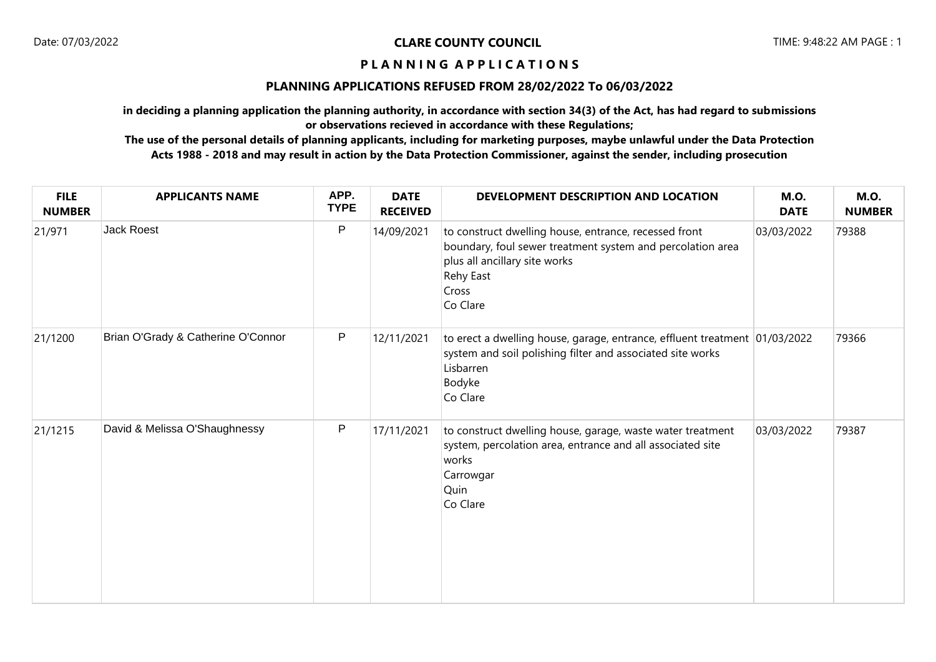# **P L A N N I N G A P P L I C A T I O N S**

# **PLANNING APPLICATIONS REFUSED FROM 28/02/2022 To 06/03/2022**

**in deciding a planning application the planning authority, in accordance with section 34(3) of the Act, has had regard to submissions or observations recieved in accordance with these Regulations;**

**The use of the personal details of planning applicants, including for marketing purposes, maybe unlawful under the Data Protection Acts 1988 - 2018 and may result in action by the Data Protection Commissioner, against the sender, including prosecution**

| <b>FILE</b><br><b>NUMBER</b> | <b>APPLICANTS NAME</b>             | APP.<br><b>TYPE</b> | <b>DATE</b><br><b>RECEIVED</b> | DEVELOPMENT DESCRIPTION AND LOCATION                                                                                                                                                   | <b>M.O.</b><br><b>DATE</b> | <b>M.O.</b><br><b>NUMBER</b> |
|------------------------------|------------------------------------|---------------------|--------------------------------|----------------------------------------------------------------------------------------------------------------------------------------------------------------------------------------|----------------------------|------------------------------|
| 21/971                       | <b>Jack Roest</b>                  | P                   | 14/09/2021                     | to construct dwelling house, entrance, recessed front<br>boundary, foul sewer treatment system and percolation area<br>plus all ancillary site works<br>Rehy East<br>Cross<br>Co Clare | 03/03/2022                 | 79388                        |
| 21/1200                      | Brian O'Grady & Catherine O'Connor | $\mathsf{P}$        | 12/11/2021                     | to erect a dwelling house, garage, entrance, effluent treatment 01/03/2022<br>system and soil polishing filter and associated site works<br>Lisbarren<br>Bodyke<br>Co Clare            |                            | 79366                        |
| 21/1215                      | David & Melissa O'Shaughnessy      | $\mathsf{P}$        | 17/11/2021                     | to construct dwelling house, garage, waste water treatment<br>system, percolation area, entrance and all associated site<br>works<br>Carrowgar<br>Quin<br>Co Clare                     | 03/03/2022                 | 79387                        |